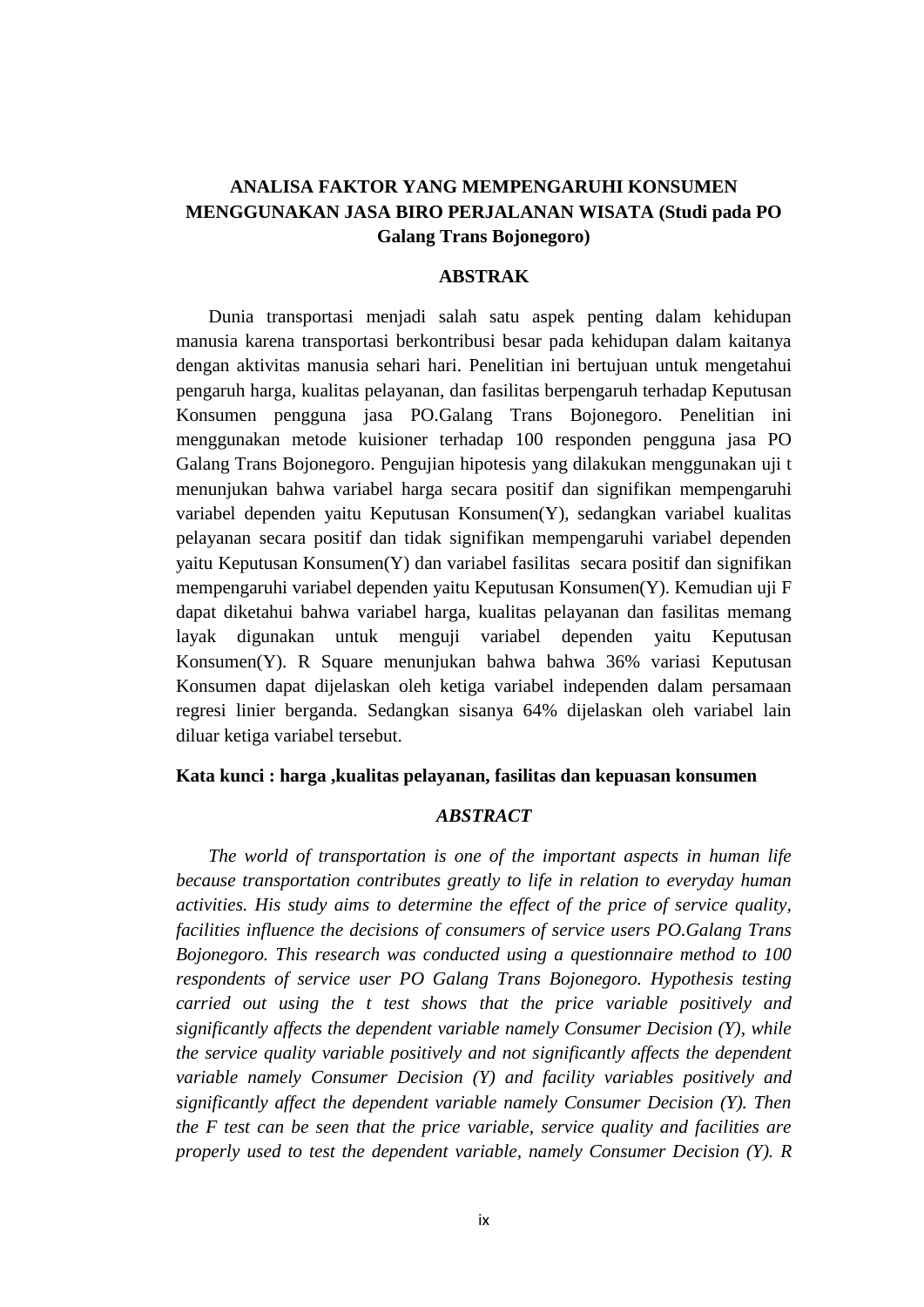## **ANALISA FAKTOR YANG MEMPENGARUHI KONSUMEN MENGGUNAKAN JASA BIRO PERJALANAN WISATA (Studi pada PO Galang Trans Bojonegoro)**

## **ABSTRAK**

 Dunia transportasi menjadi salah satu aspek penting dalam kehidupan manusia karena transportasi berkontribusi besar pada kehidupan dalam kaitanya dengan aktivitas manusia sehari hari. Penelitian ini bertujuan untuk mengetahui pengaruh harga, kualitas pelayanan, dan fasilitas berpengaruh terhadap Keputusan Konsumen pengguna jasa PO.Galang Trans Bojonegoro. Penelitian ini menggunakan metode kuisioner terhadap 100 responden pengguna jasa PO Galang Trans Bojonegoro. Pengujian hipotesis yang dilakukan menggunakan uji t menunjukan bahwa variabel harga secara positif dan signifikan mempengaruhi variabel dependen yaitu Keputusan Konsumen(Y), sedangkan variabel kualitas pelayanan secara positif dan tidak signifikan mempengaruhi variabel dependen yaitu Keputusan Konsumen(Y) dan variabel fasilitas secara positif dan signifikan mempengaruhi variabel dependen yaitu Keputusan Konsumen(Y). Kemudian uji F dapat diketahui bahwa variabel harga, kualitas pelayanan dan fasilitas memang layak digunakan untuk menguji variabel dependen yaitu Keputusan Konsumen(Y). R Square menunjukan bahwa bahwa 36% variasi Keputusan Konsumen dapat dijelaskan oleh ketiga variabel independen dalam persamaan regresi linier berganda. Sedangkan sisanya 64% dijelaskan oleh variabel lain diluar ketiga variabel tersebut.

## **Kata kunci : harga ,kualitas pelayanan, fasilitas dan kepuasan konsumen**

## *ABSTRACT*

 *The world of transportation is one of the important aspects in human life because transportation contributes greatly to life in relation to everyday human activities. His study aims to determine the effect of the price of service quality, facilities influence the decisions of consumers of service users PO.Galang Trans Bojonegoro. This research was conducted using a questionnaire method to 100 respondents of service user PO Galang Trans Bojonegoro. Hypothesis testing carried out using the t test shows that the price variable positively and significantly affects the dependent variable namely Consumer Decision (Y), while the service quality variable positively and not significantly affects the dependent variable namely Consumer Decision (Y) and facility variables positively and significantly affect the dependent variable namely Consumer Decision (Y). Then the F test can be seen that the price variable, service quality and facilities are properly used to test the dependent variable, namely Consumer Decision (Y). R*